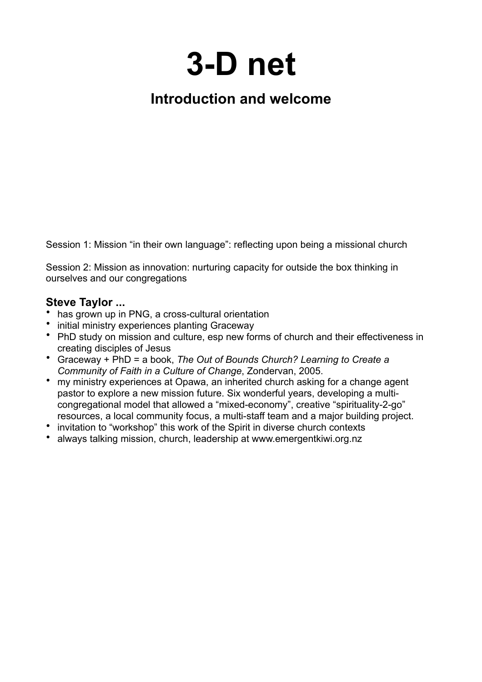# **3-D net**

# **Introduction and welcome**

Session 1: Mission "in their own language": reflecting upon being a missional church

Session 2: Mission as innovation: nurturing capacity for outside the box thinking in ourselves and our congregations

## **Steve Taylor ...**

- has grown up in PNG, a cross-cultural orientation
- initial ministry experiences planting Graceway
- PhD study on mission and culture, esp new forms of church and their effectiveness in creating disciples of Jesus
- Graceway + PhD = a book, *The Out of Bounds Church? Learning to Create a Community of Faith in a Culture of Change*, Zondervan, 2005.
- my ministry experiences at Opawa, an inherited church asking for a change agent pastor to explore a new mission future. Six wonderful years, developing a multicongregational model that allowed a "mixed-economy", creative "spirituality-2-go" resources, a local community focus, a multi-staff team and a major building project.
- invitation to "workshop" this work of the Spirit in diverse church contexts
- always talking mission, church, leadership at www.emergentkiwi.org.nz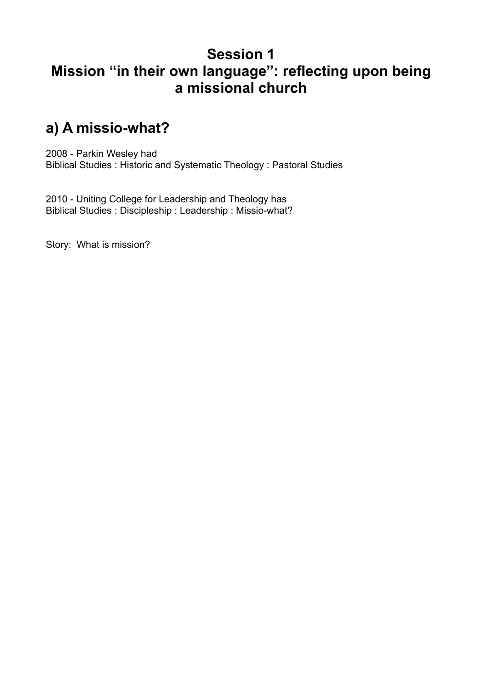# **Session 1 Mission "in their own language": reflecting upon being a missional church**

# **a) A missio-what?**

2008 - Parkin Wesley had Biblical Studies : Historic and Systematic Theology : Pastoral Studies

2010 - Uniting College for Leadership and Theology has Biblical Studies : Discipleship : Leadership : Missio-what?

Story: What is mission?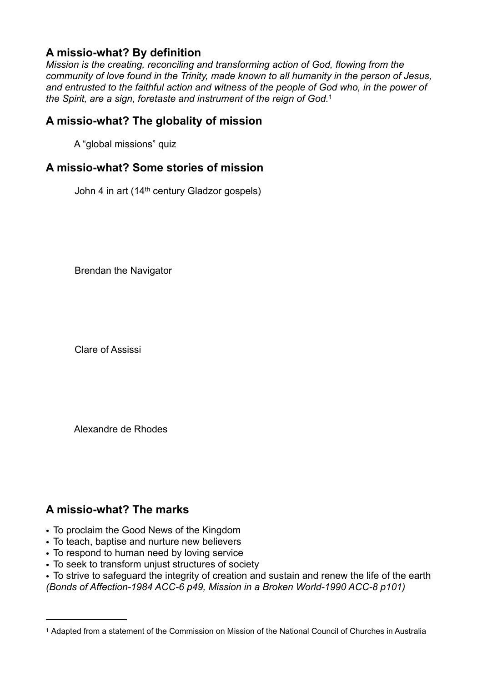## **A missio-what? By definition**

*Mission is the creating, reconciling and transforming action of God, flowing from the community of love found in the Trinity, made known to all humanity in the person of Jesus, and entrusted to the faithful action and witness of the people of God who, in the power of the Spirit, are a sign, foretaste and instrument of the reign of God.*[1](#page-2-0)

## **A missio-what? The globality of mission**

A "global missions" quiz

## **A missio-what? Some stories of mission**

John 4 in art (14<sup>th</sup> century Gladzor gospels)

Brendan the Navigator

Clare of Assissi

Alexandre de Rhodes

## **A missio-what? The marks**

- To proclaim the Good News of the Kingdom
- To teach, baptise and nurture new believers
- To respond to human need by loving service
- To seek to transform unjust structures of society

• To strive to safeguard the integrity of creation and sustain and renew the life of the earth *(Bonds of Affection-1984 ACC-6 p49, Mission in a Broken World-1990 ACC-8 p101)*

<span id="page-2-0"></span><sup>1</sup> Adapted from a statement of the Commission on Mission of the National Council of Churches in Australia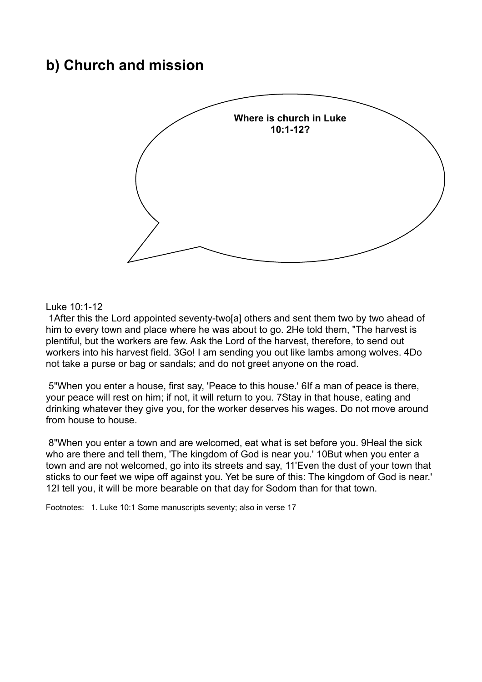## **b) Church and mission**



#### Luke 10:1-12

 1After this the Lord appointed seventy-two[a] others and sent them two by two ahead of him to every town and place where he was about to go. 2He told them, "The harvest is plentiful, but the workers are few. Ask the Lord of the harvest, therefore, to send out workers into his harvest field. 3Go! I am sending you out like lambs among wolves. 4Do not take a purse or bag or sandals; and do not greet anyone on the road.

 5"When you enter a house, first say, 'Peace to this house.' 6If a man of peace is there, your peace will rest on him; if not, it will return to you. 7Stay in that house, eating and drinking whatever they give you, for the worker deserves his wages. Do not move around from house to house.

 8"When you enter a town and are welcomed, eat what is set before you. 9Heal the sick who are there and tell them, 'The kingdom of God is near you.' 10But when you enter a town and are not welcomed, go into its streets and say, 11'Even the dust of your town that sticks to our feet we wipe off against you. Yet be sure of this: The kingdom of God is near.' 12I tell you, it will be more bearable on that day for Sodom than for that town.

Footnotes: 1. Luke 10:1 Some manuscripts seventy; also in verse 17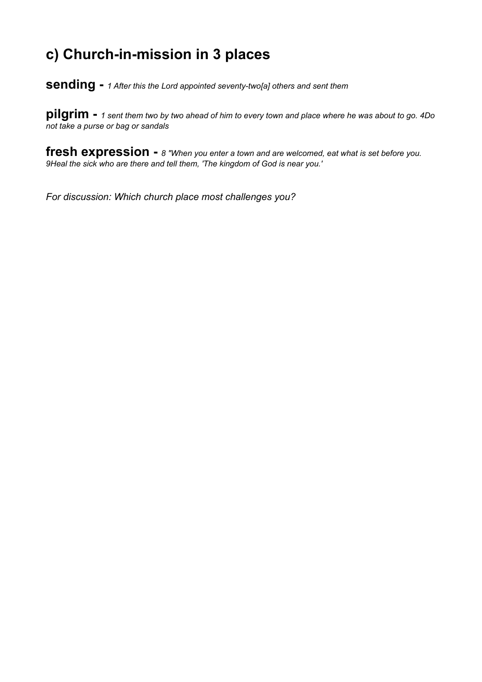# **c) Church-in-mission in 3 places**

**sending -** *1 After this the Lord appointed seventy-two[a] others and sent them*

**pilgrim -** *<sup>1</sup> sent them two by two ahead of him to every town and place where he was about to go. 4Do not take a purse or bag or sandals*

**fresh expression -** *8 "When you enter a town and are welcomed, eat what is set before you. 9Heal the sick who are there and tell them, 'The kingdom of God is near you.'*

*For discussion: Which church place most challenges you?*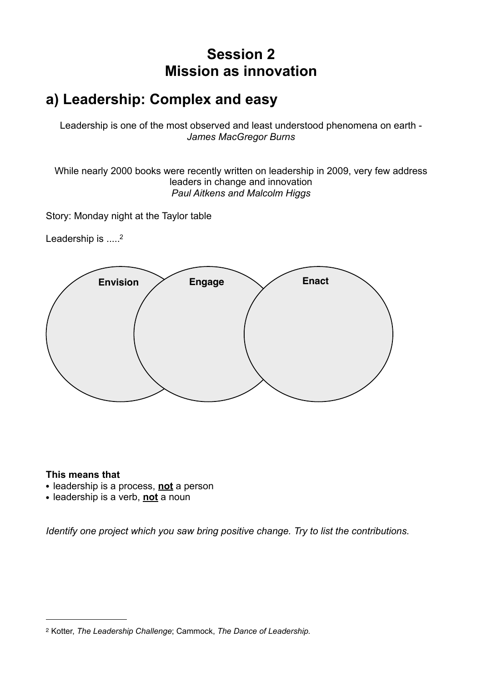# **Session 2 Mission as innovation**

# **a) Leadership: Complex and easy**

Leadership is one of the most observed and least understood phenomena on earth - *James MacGregor Burns*

While nearly 2000 books were recently written on leadership in 2009, very few address leaders in change and innovation *Paul Aitkens and Malcolm Higgs*

Story: Monday night at the Taylor table

Leadership is .....<sup>2</sup>



#### **This means that**

- **•** leadership is a process, **not** a person
- **•** leadership is a verb, **not** a noun

*Identify one project which you saw bring positive change. Try to list the contributions.*

<span id="page-5-0"></span><sup>2</sup> Kotter, *The Leadership Challenge*; Cammock, *The Dance of Leadership.*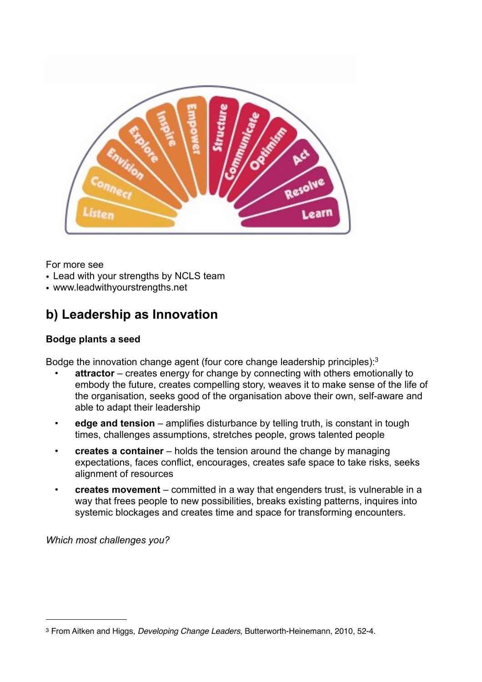

For more see

- Lead with your strengths by NCLS team
- www.leadwithyourstrengths.net

## **b) Leadership as Innovation**

#### **Bodge plants a seed**

Bodge the innovation change agent (four core change leadership principles):[3](#page-6-0)

- **attractor** creates energy for change by connecting with others emotionally to embody the future, creates compelling story, weaves it to make sense of the life of the organisation, seeks good of the organisation above their own, self-aware and able to adapt their leadership
- **edge and tension** amplifies disturbance by telling truth, is constant in tough times, challenges assumptions, stretches people, grows talented people
- **creates a container** holds the tension around the change by managing expectations, faces conflict, encourages, creates safe space to take risks, seeks alignment of resources
- **creates movement** committed in a way that engenders trust, is vulnerable in a way that frees people to new possibilities, breaks existing patterns, inquires into systemic blockages and creates time and space for transforming encounters.

*Which most challenges you?*

<span id="page-6-0"></span><sup>3</sup> From Aitken and Higgs, *Developing Change Leaders*, Butterworth-Heinemann, 2010, 52-4.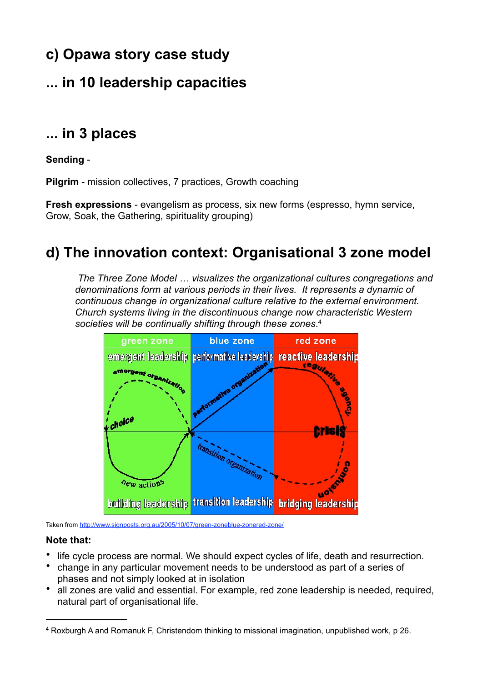# **c) Opawa story case study**

# **... in 10 leadership capacities**

# **... in 3 places**

### **Sending** -

**Pilgrim** - mission collectives, 7 practices, Growth coaching

**Fresh expressions** - evangelism as process, six new forms (espresso, hymn service, Grow, Soak, the Gathering, spirituality grouping)

# **d) The innovation context: Organisational 3 zone model**

*The Three Zone Model … visualizes the organizational cultures congregations and denominations form at various periods in their lives. It represents a dynamic of continuous change in organizational culture relative to the external environment. Church systems living in the discontinuous change now characteristic Western societies will be continually shifting through these zones*. [4](#page-7-0)



Taken from<http://www.signposts.org.au/2005/10/07/green-zoneblue-zonered-zone/>

#### **Note that:**

- life cycle process are normal. We should expect cycles of life, death and resurrection.
- change in any particular movement needs to be understood as part of a series of phases and not simply looked at in isolation
- all zones are valid and essential. For example, red zone leadership is needed, required, natural part of organisational life.

<span id="page-7-0"></span><sup>4</sup> Roxburgh A and Romanuk F, Christendom thinking to missional imagination, unpublished work, p 26.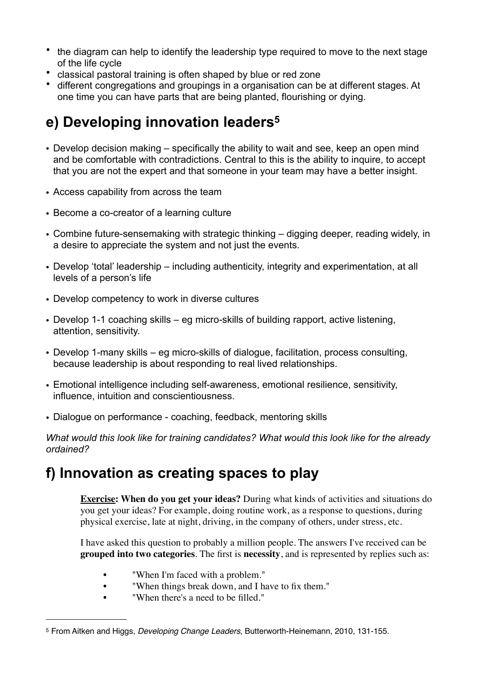- the diagram can help to identify the leadership type required to move to the next stage of the life cycle
- classical pastoral training is often shaped by blue or red zone
- different congregations and groupings in a organisation can be at different stages. At one time you can have parts that are being planted, flourishing or dying.

# **e) Developing innovation leaders[5](#page-8-0)**

- Develop decision making specifically the ability to wait and see, keep an open mind and be comfortable with contradictions. Central to this is the ability to inquire, to accept that you are not the expert and that someone in your team may have a better insight.
- Access capability from across the team
- Become a co-creator of a learning culture
- Combine future-sensemaking with strategic thinking digging deeper, reading widely, in a desire to appreciate the system and not just the events.
- Develop 'total' leadership including authenticity, integrity and experimentation, at all levels of a person's life
- Develop competency to work in diverse cultures
- Develop 1-1 coaching skills eg micro-skills of building rapport, active listening, attention, sensitivity.
- Develop 1-many skills eg micro-skills of dialogue, facilitation, process consulting, because leadership is about responding to real lived relationships.
- Emotional intelligence including self-awareness, emotional resilience, sensitivity, influence, intuition and conscientiousness.
- Dialogue on performance coaching, feedback, mentoring skills

*What would this look like for training candidates? What would this look like for the already ordained?*

# **f) Innovation as creating spaces to play**

**Exercise: When do you get your ideas?** During what kinds of activities and situations do you get your ideas? For example, doing routine work, as a response to questions, during physical exercise, late at night, driving, in the company of others, under stress, etc.

I have asked this question to probably a million people. The answers I've received can be **grouped into two categories**. The first is **necessity**, and is represented by replies such as:

- "When I'm faced with a problem."
- "When things break down, and I have to fix them."
- "When there's a need to be filled."

<span id="page-8-0"></span><sup>5</sup> From Aitken and Higgs, *Developing Change Leaders*, Butterworth-Heinemann, 2010, 131-155.